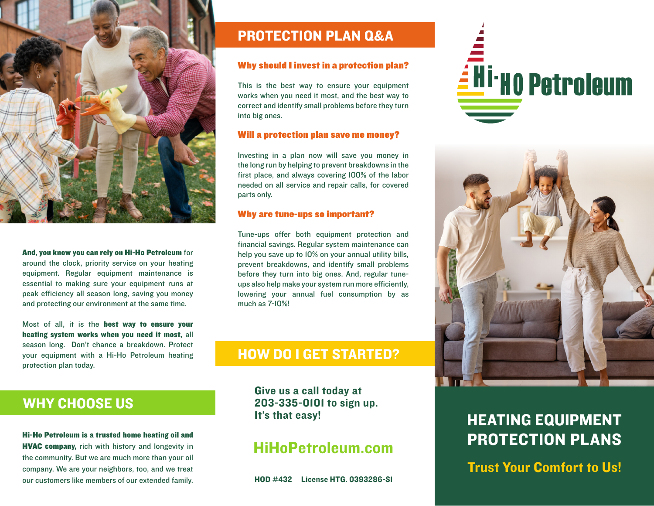

### And, you know you can rely on Hi-Ho Petroleum for

around the clock, priority service on your heating equipment. Regular equipment maintenance is essential to making sure your equipment runs at peak efficiency all season long, saving you money and protecting our environment at the same time.

Most of all, it is the best way to ensure your heating system works when you need it most, all season long. Don't chance a breakdown. Protect your equipment with a Hi-Ho Petroleum heating protection plan today.

Hi-Ho Petroleum is a trusted home heating oil and **HVAC company, rich with history and longevity in** the community. But we are much more than your oil company. We are your neighbors, too, and we treat

WHY CHOOSE US

## PROTECTION PLAN Q&A

### Why should I invest in a protection plan?

This is the best way to ensure your equipment works when you need it most, and the best way to correct and identify small problems before they turn into big ones.

### Will a protection plan save me money?

Investing in a plan now will save you money in the long run by helping to prevent breakdowns in the first place, and always covering 100% of the labor needed on all service and repair calls, for covered parts only.

### Why are tune-ups so important?

Tune-ups offer both equipment protection and financial savings. Regular system maintenance can help you save up to 10% on your annual utility bills, prevent breakdowns, and identify small problems before they turn into big ones. And, regular tuneups also help make your system run more efficiently, lowering your annual fuel consumption by as much as 7-10%!

## HOW DO I GET STARTED?

Give us a call today at 203-335-0101 to sign up.

## HiHoPetroleum.com

our customers like members of our extended family. HOD #432 License HTG. 0393286-S1





# It's that easy!<br>
HEATING EQUIPMENT PROTECTION PLANS

Trust Your Comfort to Us!